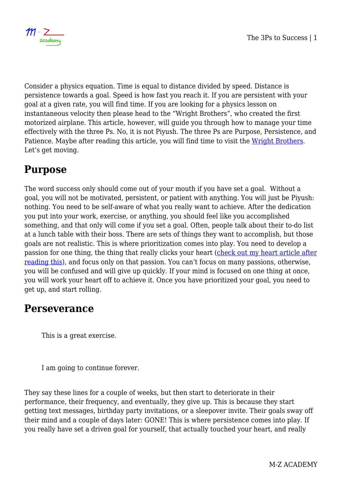

Consider a physics equation. Time is equal to distance divided by speed. Distance is persistence towards a goal. Speed is how fast you reach it. If you are persistent with your goal at a given rate, you will find time. If you are looking for a physics lesson on instantaneous velocity then please head to the "Wright Brothers", who created the first motorized airplane. This article, however, will guide you through how to manage your time effectively with the three Ps. No, it is not Piyush. The three Ps are Purpose, Persistence, and Patience. Maybe after reading this article, you will find time to visit the [Wright Brothers.](https://kids.nationalgeographic.com/history/article/wright-brothers) Let's get moving.

## **Purpose**

The word success only should come out of your mouth if you have set a goal. Without a goal, you will not be motivated, persistent, or patient with anything. You will just be Piyush: nothing. You need to be self-aware of what you really want to achieve. After the dedication you put into your work, exercise, or anything, you should feel like you accomplished something, and that only will come if you set a goal. Often, people talk about their to-do list at a lunch table with their boss. There are sets of things they want to accomplish, but those goals are not realistic. This is where prioritization comes into play. You need to develop a passion for one thing, the thing that really clicks your heart ([check out my heart article after](https://mzacademy.net/science/biology/heart-and-cardiac-cycle/) [reading this](https://mzacademy.net/science/biology/heart-and-cardiac-cycle/)), and focus only on that passion. You can't focus on many passions, otherwise, you will be confused and will give up quickly. If your mind is focused on one thing at once, you will work your heart off to achieve it. Once you have prioritized your goal, you need to get up, and start rolling.

## **Perseverance**

This is a great exercise.

I am going to continue forever.

They say these lines for a couple of weeks, but then start to deteriorate in their performance, their frequency, and eventually, they give up. This is because they start getting text messages, birthday party invitations, or a sleepover invite. Their goals sway off their mind and a couple of days later: GONE! This is where persistence comes into play. If you really have set a driven goal for yourself, that actually touched your heart, and really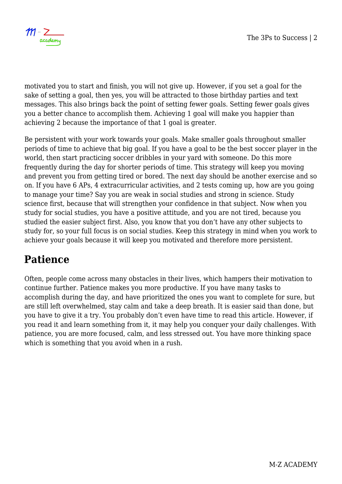



motivated you to start and finish, you will not give up. However, if you set a goal for the sake of setting a goal, then yes, you will be attracted to those birthday parties and text messages. This also brings back the point of setting fewer goals. Setting fewer goals gives you a better chance to accomplish them. Achieving 1 goal will make you happier than achieving 2 because the importance of that 1 goal is greater.

Be persistent with your work towards your goals. Make smaller goals throughout smaller periods of time to achieve that big goal. If you have a goal to be the best soccer player in the world, then start practicing soccer dribbles in your yard with someone. Do this more frequently during the day for shorter periods of time. This strategy will keep you moving and prevent you from getting tired or bored. The next day should be another exercise and so on. If you have 6 APs, 4 extracurricular activities, and 2 tests coming up, how are you going to manage your time? Say you are weak in social studies and strong in science. Study science first, because that will strengthen your confidence in that subject. Now when you study for social studies, you have a positive attitude, and you are not tired, because you studied the easier subject first. Also, you know that you don't have any other subjects to study for, so your full focus is on social studies. Keep this strategy in mind when you work to achieve your goals because it will keep you motivated and therefore more persistent.

## **Patience**

Often, people come across many obstacles in their lives, which hampers their motivation to continue further. Patience makes you more productive. If you have many tasks to accomplish during the day, and have prioritized the ones you want to complete for sure, but are still left overwhelmed, stay calm and take a deep breath. It is easier said than done, but you have to give it a try. You probably don't even have time to read this article. However, if you read it and learn something from it, it may help you conquer your daily challenges. With patience, you are more focused, calm, and less stressed out. You have more thinking space which is something that you avoid when in a rush.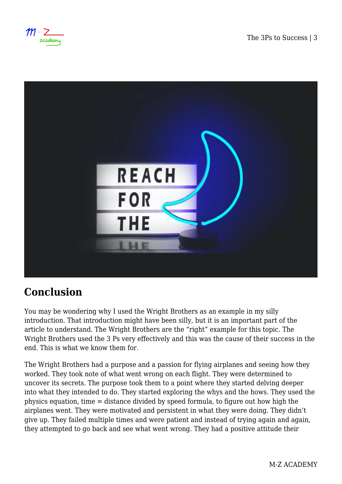$m - z$ academy



## **Conclusion**

You may be wondering why I used the Wright Brothers as an example in my silly introduction. That introduction might have been silly, but it is an important part of the article to understand. The Wright Brothers are the "right" example for this topic. The Wright Brothers used the 3 Ps very effectively and this was the cause of their success in the end. This is what we know them for.

The Wright Brothers had a purpose and a passion for flying airplanes and seeing how they worked. They took note of what went wrong on each flight. They were determined to uncover its secrets. The purpose took them to a point where they started delving deeper into what they intended to do. They started exploring the whys and the hows. They used the physics equation, time = distance divided by speed formula, to figure out how high the airplanes went. They were motivated and persistent in what they were doing. They didn't give up. They failed multiple times and were patient and instead of trying again and again, they attempted to go back and see what went wrong. They had a positive attitude their